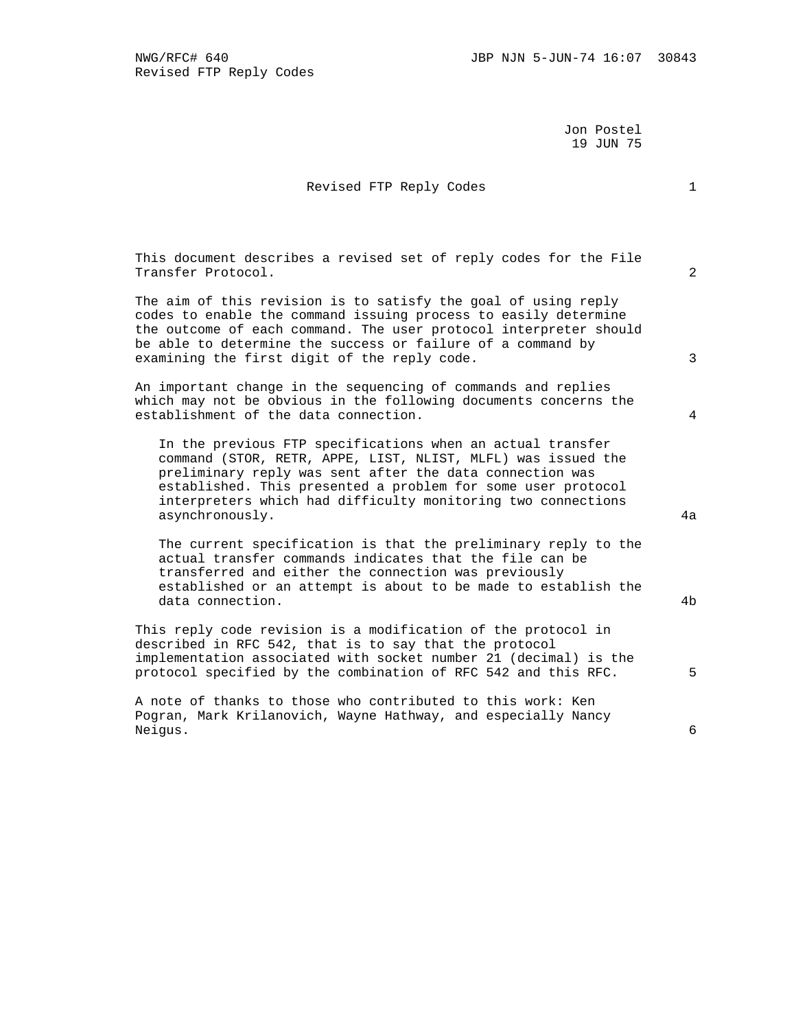Jon Postel 19 JUN 75

## Revised FTP Reply Codes 1

 This document describes a revised set of reply codes for the File Transfer Protocol. 2

 The aim of this revision is to satisfy the goal of using reply codes to enable the command issuing process to easily determine the outcome of each command. The user protocol interpreter should be able to determine the success or failure of a command by examining the first digit of the reply code. 3

 An important change in the sequencing of commands and replies which may not be obvious in the following documents concerns the establishment of the data connection. 4

 In the previous FTP specifications when an actual transfer command (STOR, RETR, APPE, LIST, NLIST, MLFL) was issued the preliminary reply was sent after the data connection was established. This presented a problem for some user protocol interpreters which had difficulty monitoring two connections asynchronously. 4a

 The current specification is that the preliminary reply to the actual transfer commands indicates that the file can be transferred and either the connection was previously established or an attempt is about to be made to establish the data connection.  $4b$ 

 This reply code revision is a modification of the protocol in described in RFC 542, that is to say that the protocol implementation associated with socket number 21 (decimal) is the protocol specified by the combination of RFC 542 and this RFC. 5

 A note of thanks to those who contributed to this work: Ken Pogran, Mark Krilanovich, Wayne Hathway, and especially Nancy Neigus. 6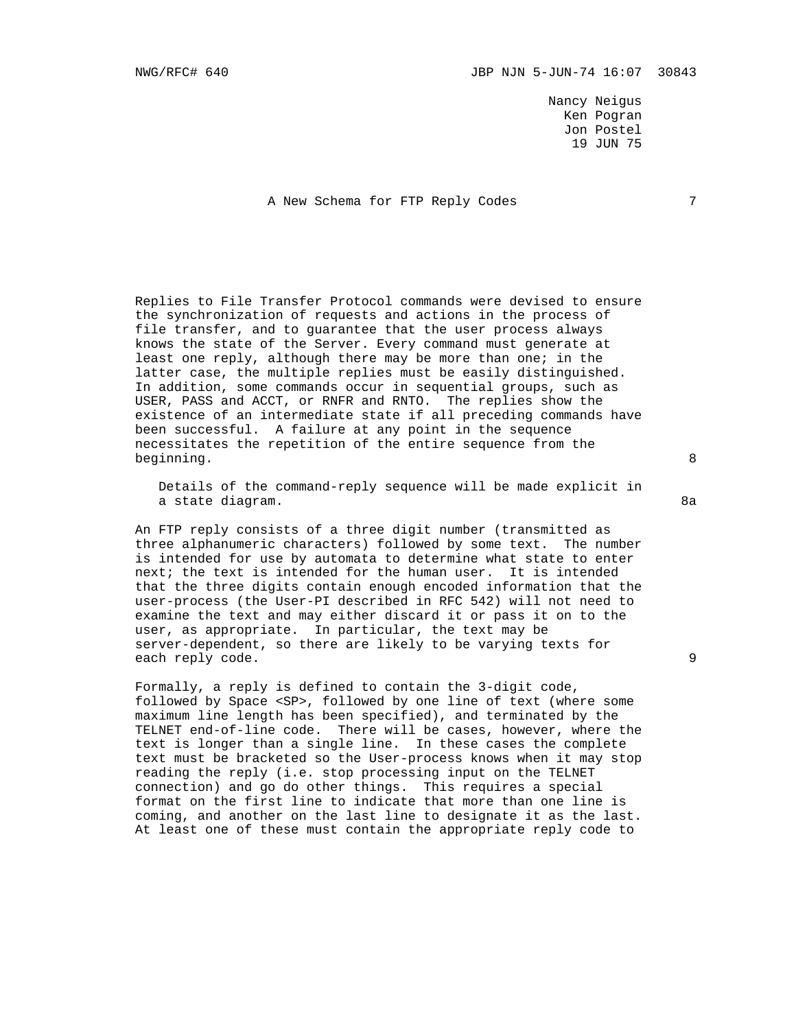Nancy Neigus Ken Pogran Jon Postel 19 JUN 75

A New Schema for FTP Reply Codes 7

 Replies to File Transfer Protocol commands were devised to ensure the synchronization of requests and actions in the process of file transfer, and to guarantee that the user process always knows the state of the Server. Every command must generate at least one reply, although there may be more than one; in the latter case, the multiple replies must be easily distinguished. In addition, some commands occur in sequential groups, such as USER, PASS and ACCT, or RNFR and RNTO. The replies show the existence of an intermediate state if all preceding commands have been successful. A failure at any point in the sequence necessitates the repetition of the entire sequence from the beginning. 8

 Details of the command-reply sequence will be made explicit in a state diagram. 8a anns an seachair anns an seachair an seachair an seachair an seachair an seachair an seach

 An FTP reply consists of a three digit number (transmitted as three alphanumeric characters) followed by some text. The number is intended for use by automata to determine what state to enter next; the text is intended for the human user. It is intended that the three digits contain enough encoded information that the user-process (the User-PI described in RFC 542) will not need to examine the text and may either discard it or pass it on to the user, as appropriate. In particular, the text may be server-dependent, so there are likely to be varying texts for each reply code. 9

 Formally, a reply is defined to contain the 3-digit code, followed by Space <SP>, followed by one line of text (where some maximum line length has been specified), and terminated by the TELNET end-of-line code. There will be cases, however, where the text is longer than a single line. In these cases the complete text must be bracketed so the User-process knows when it may stop reading the reply (i.e. stop processing input on the TELNET connection) and go do other things. This requires a special format on the first line to indicate that more than one line is coming, and another on the last line to designate it as the last. At least one of these must contain the appropriate reply code to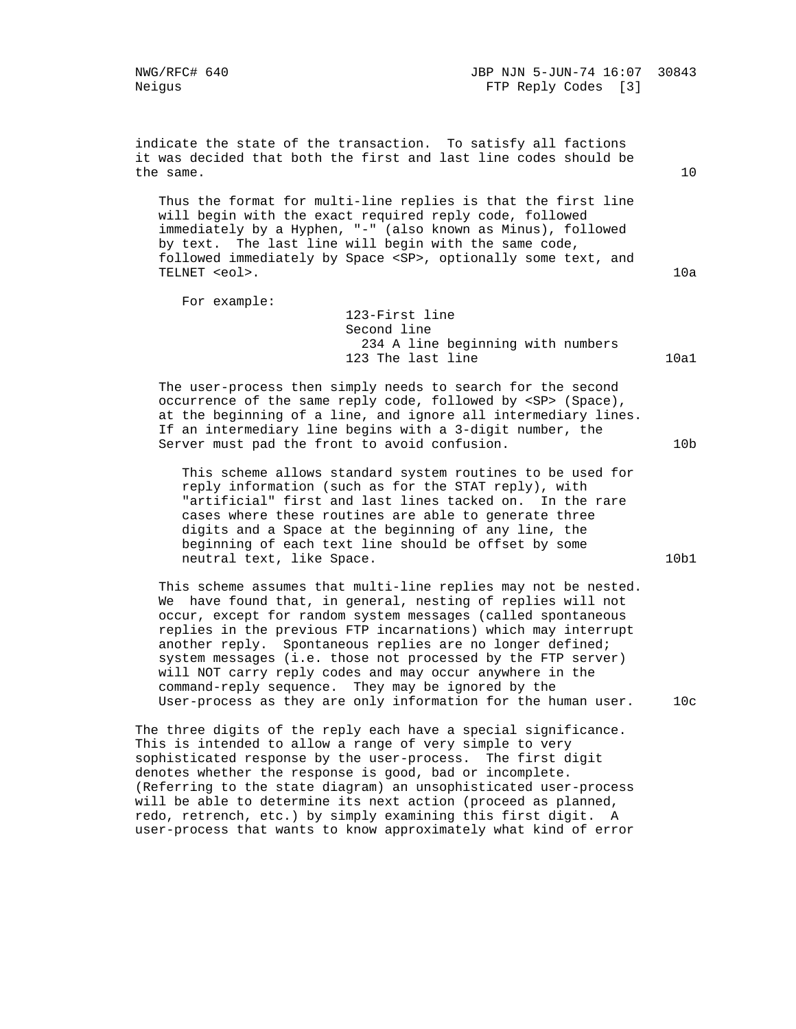indicate the state of the transaction. To satisfy all factions it was decided that both the first and last line codes should be the same.  $10$ 

 Thus the format for multi-line replies is that the first line will begin with the exact required reply code, followed immediately by a Hyphen, "-" (also known as Minus), followed by text. The last line will begin with the same code, followed immediately by Space <SP>, optionally some text, and TELNET <eol>. 10a

For example:

 123-First line Second line 234 A line beginning with numbers 123 The last line 10a1

 The user-process then simply needs to search for the second occurrence of the same reply code, followed by <SP> (Space), at the beginning of a line, and ignore all intermediary lines. If an intermediary line begins with a 3-digit number, the Server must pad the front to avoid confusion. 10b

 This scheme allows standard system routines to be used for reply information (such as for the STAT reply), with "artificial" first and last lines tacked on. In the rare cases where these routines are able to generate three digits and a Space at the beginning of any line, the beginning of each text line should be offset by some neutral text, like Space. 10b1

 This scheme assumes that multi-line replies may not be nested. We have found that, in general, nesting of replies will not occur, except for random system messages (called spontaneous replies in the previous FTP incarnations) which may interrupt another reply. Spontaneous replies are no longer defined; system messages (i.e. those not processed by the FTP server) will NOT carry reply codes and may occur anywhere in the command-reply sequence. They may be ignored by the User-process as they are only information for the human user. 10c

 The three digits of the reply each have a special significance. This is intended to allow a range of very simple to very sophisticated response by the user-process. The first digit denotes whether the response is good, bad or incomplete. (Referring to the state diagram) an unsophisticated user-process will be able to determine its next action (proceed as planned, redo, retrench, etc.) by simply examining this first digit. A user-process that wants to know approximately what kind of error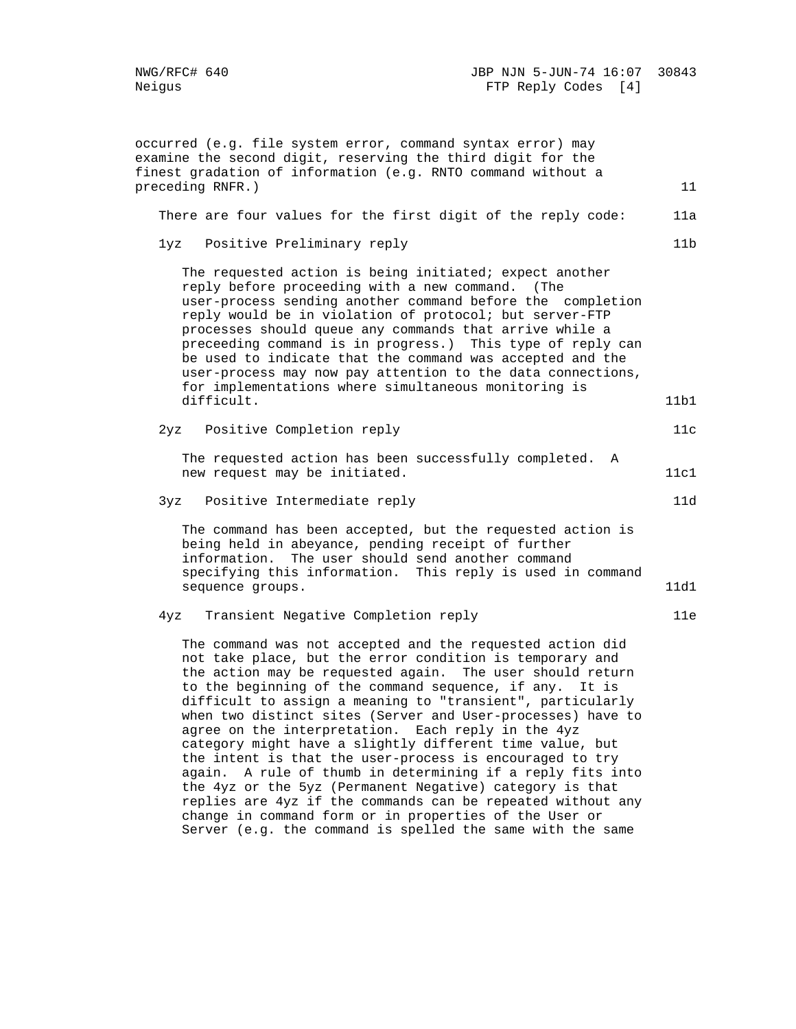occurred (e.g. file system error, command syntax error) may examine the second digit, reserving the third digit for the finest gradation of information (e.g. RNTO command without a preceding RNFR.) 11 There are four values for the first digit of the reply code: 11a 1yz Positive Preliminary reply 11b The requested action is being initiated; expect another reply before proceeding with a new command. (The user-process sending another command before the completion reply would be in violation of protocol; but server-FTP processes should queue any commands that arrive while a preceeding command is in progress.) This type of reply can be used to indicate that the command was accepted and the user-process may now pay attention to the data connections, for implementations where simultaneous monitoring is difficult. 11b1 2yz Positive Completion reply 11c The requested action has been successfully completed. A new request may be initiated. 11cl 3yz Positive Intermediate reply 11d The command has been accepted, but the requested action is being held in abeyance, pending receipt of further information. The user should send another command specifying this information. This reply is used in command sequence groups. 11d1 4yz Transient Negative Completion reply 11e The command was not accepted and the requested action did not take place, but the error condition is temporary and the action may be requested again. The user should return to the beginning of the command sequence, if any. It is difficult to assign a meaning to "transient", particularly when two distinct sites (Server and User-processes) have to agree on the interpretation. Each reply in the 4yz category might have a slightly different time value, but the intent is that the user-process is encouraged to try again. A rule of thumb in determining if a reply fits into the 4yz or the 5yz (Permanent Negative) category is that replies are 4yz if the commands can be repeated without any change in command form or in properties of the User or

Server (e.g. the command is spelled the same with the same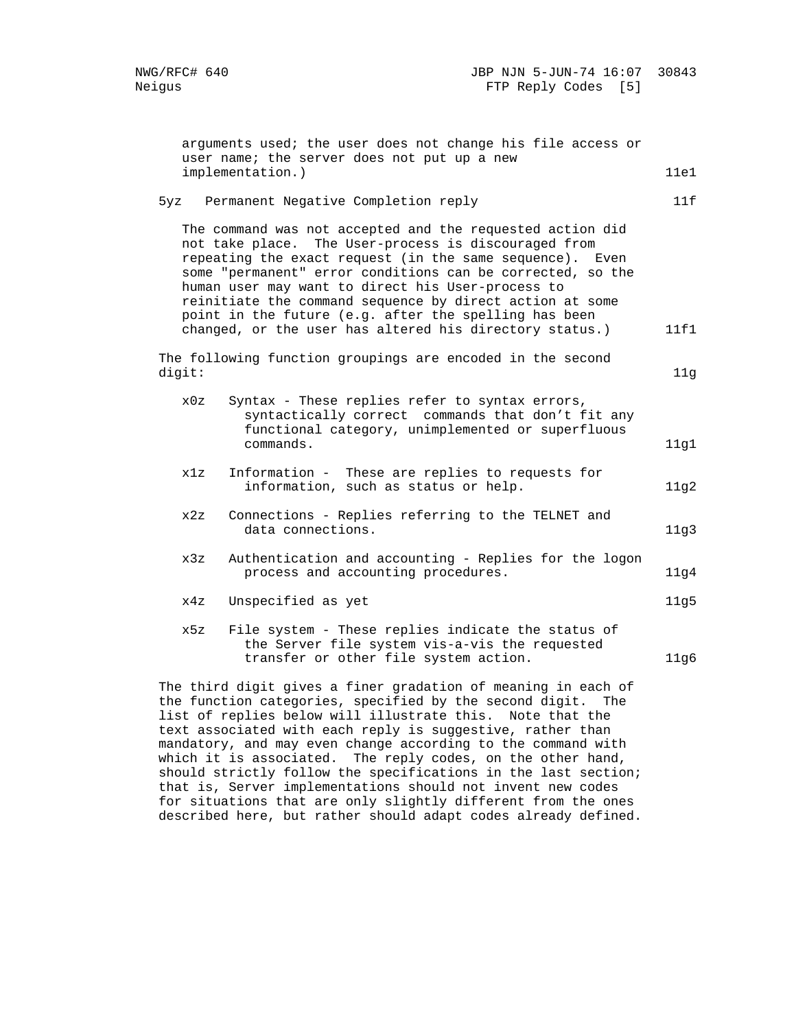|        | arguments used; the user does not change his file access or<br>user name; the server does not put up a new                                                                                                                                                                                                                                                                                                                                                                       |      |
|--------|----------------------------------------------------------------------------------------------------------------------------------------------------------------------------------------------------------------------------------------------------------------------------------------------------------------------------------------------------------------------------------------------------------------------------------------------------------------------------------|------|
|        | implementation.)                                                                                                                                                                                                                                                                                                                                                                                                                                                                 | 11e1 |
| 5yz    | Permanent Negative Completion reply                                                                                                                                                                                                                                                                                                                                                                                                                                              | 11f  |
|        | The command was not accepted and the requested action did<br>not take place. The User-process is discouraged from<br>repeating the exact request (in the same sequence). Even<br>some "permanent" error conditions can be corrected, so the<br>human user may want to direct his User-process to<br>reinitiate the command sequence by direct action at some<br>point in the future (e.g. after the spelling has been<br>changed, or the user has altered his directory status.) | 11f1 |
| digit: | The following function groupings are encoded in the second                                                                                                                                                                                                                                                                                                                                                                                                                       | 11g  |
| x0z    | Syntax - These replies refer to syntax errors,<br>syntactically correct commands that don't fit any<br>functional category, unimplemented or superfluous<br>commands.                                                                                                                                                                                                                                                                                                            | 11g1 |
| x1z    | Information - These are replies to requests for<br>information, such as status or help.                                                                                                                                                                                                                                                                                                                                                                                          | 11g2 |
| x2z    | Connections - Replies referring to the TELNET and<br>data connections.                                                                                                                                                                                                                                                                                                                                                                                                           | 11g3 |
| x3z    | Authentication and accounting - Replies for the logon<br>process and accounting procedures.                                                                                                                                                                                                                                                                                                                                                                                      | 11g4 |
| x4z    | Unspecified as yet                                                                                                                                                                                                                                                                                                                                                                                                                                                               | 11g5 |
| x5z    | File system - These replies indicate the status of<br>the Server file system vis-a-vis the requested<br>transfer or other file system action.                                                                                                                                                                                                                                                                                                                                    | 11g6 |
|        | The third digit gives a finer gradation of meaning in each of<br>the function categories, specified by the second digit. The<br>list of replies below will illustrate this. Note that the<br>text associated with each reply is suggestive, rather than                                                                                                                                                                                                                          |      |

 mandatory, and may even change according to the command with which it is associated. The reply codes, on the other hand, should strictly follow the specifications in the last section; that is, Server implementations should not invent new codes for situations that are only slightly different from the ones described here, but rather should adapt codes already defined.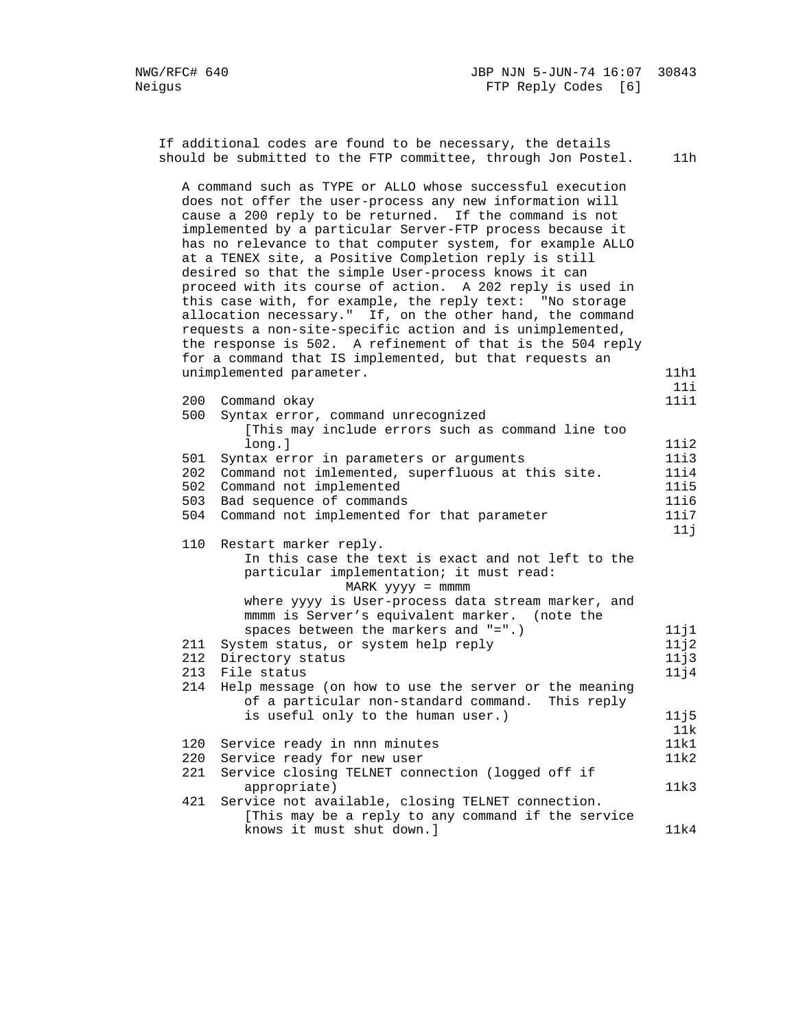If additional codes are found to be necessary, the details should be submitted to the FTP committee, through Jon Postel. 11h A command such as TYPE or ALLO whose successful execution does not offer the user-process any new information will cause a 200 reply to be returned. If the command is not implemented by a particular Server-FTP process because it has no relevance to that computer system, for example ALLO at a TENEX site, a Positive Completion reply is still desired so that the simple User-process knows it can proceed with its course of action. A 202 reply is used in this case with, for example, the reply text: "No storage allocation necessary." If, on the other hand, the command requests a non-site-specific action and is unimplemented, the response is 502. A refinement of that is the 504 reply for a command that IS implemented, but that requests an unimplemented parameter. 11h1 11i 200 Command okay 11i1 500 Syntax error, command unrecognized [This may include errors such as command line too long.] 11i2 501 Syntax error in parameters or arguments 11i3 202 Command not imlemented, superfluous at this site. 11i4 502 Command not implemented 11i5 503 Bad sequence of commands 1116 504 Command not implemented for that parameter 11i7  $11j$  110 Restart marker reply. In this case the text is exact and not left to the particular implementation; it must read: MARK yyyy = mmmm where yyyy is User-process data stream marker, and mmmm is Server's equivalent marker. (note the spaces between the markers and "=".) 11j1 211 System status, or system help reply 11j2 212 Directory status 11j3 213 File status 11j4 214 Help message (on how to use the server or the meaning of a particular non-standard command. This reply is useful only to the human user.) 11j5 11k 120 Service ready in nnn minutes 11k1 220 Service ready for new user 11k2 221 Service closing TELNET connection (logged off if appropriate) 11k3 421 Service not available, closing TELNET connection. [This may be a reply to any command if the service knows it must shut down.] 11k4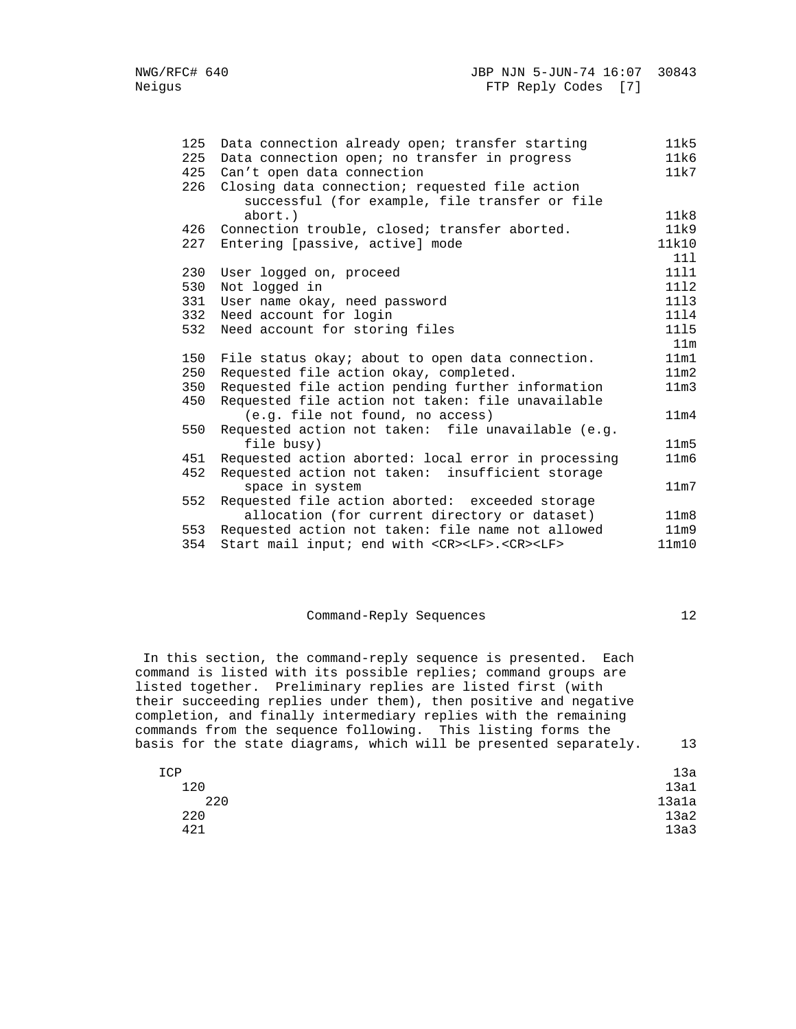| 125 | Data connection already open; transfer starting                  | 11k5              |
|-----|------------------------------------------------------------------|-------------------|
| 225 | Data connection open; no transfer in progress                    | 11k6              |
| 425 | Can't open data connection                                       | 11k7              |
| 226 | Closing data connection; requested file action                   |                   |
|     | successful (for example, file transfer or file                   |                   |
|     | $abort.$ )                                                       | 11k8              |
| 426 | Connection trouble, closed; transfer aborted.                    | 11k9              |
| 227 | Entering [passive, active] mode                                  | 11k10             |
|     |                                                                  | 111               |
| 230 | User logged on, proceed                                          | 1111              |
| 530 | Not logged in                                                    | 1112              |
| 331 | User name okay, need password                                    | 1113              |
| 332 | Need account for login                                           | 1114              |
| 532 | Need account for storing files                                   | 1115              |
|     |                                                                  | 11m               |
| 150 | File status okay; about to open data connection.                 | 11m1              |
| 250 | Requested file action okay, completed.                           | 11 <sub>m2</sub>  |
| 350 | Requested file action pending further information                | 11 <sub>m3</sub>  |
| 450 | Requested file action not taken: file unavailable                |                   |
|     | (e.g. file not found, no access)                                 | 11 <sub>m4</sub>  |
| 550 | Requested action not taken: file unavailable (e.g.               |                   |
|     | file busy)                                                       | 11m5              |
| 451 | Requested action aborted: local error in processing              | 11 <sub>m6</sub>  |
| 452 | Requested action not taken: insufficient storage                 |                   |
|     | space in system                                                  | 11 <sub>m</sub> 7 |
| 552 | Requested file action aborted: exceeded storage                  |                   |
|     | allocation (for current directory or dataset)                    | 11 <sub>m8</sub>  |
| 553 | Requested action not taken: file name not allowed                | 11 <sub>m</sub> 9 |
| 354 | Start mail input; end with <cr><lf>.<cr><lf></lf></cr></lf></cr> | 11m10             |

## Command-Reply Sequences 12

 In this section, the command-reply sequence is presented. Each command is listed with its possible replies; command groups are listed together. Preliminary replies are listed first (with their succeeding replies under them), then positive and negative completion, and finally intermediary replies with the remaining commands from the sequence following. This listing forms the basis for the state diagrams, which will be presented separately. 13

| ICP |     | 13a   |
|-----|-----|-------|
|     | 120 | 13a1  |
|     | 220 | 13a1a |
|     | 220 | 13a2  |
|     | 421 | 13a3  |
|     |     |       |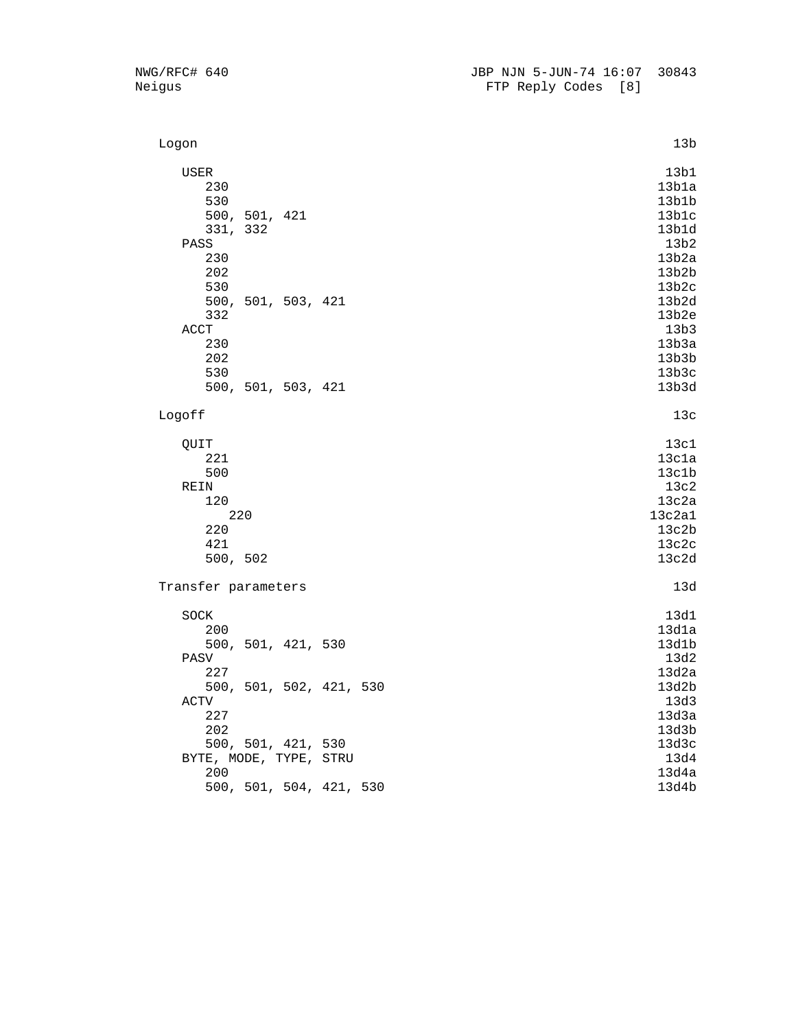| Logon                                           | 13b                                              |
|-------------------------------------------------|--------------------------------------------------|
| USER<br>230<br>530<br>500, 501, 421<br>331, 332 | 13b1<br>13b1a<br>13b1b<br>13b1c<br>13b1d<br>13b2 |
| PASS<br>230<br>202<br>530<br>500, 501, 503, 421 | 13b2a<br>13b2b<br>13b2c<br>13b2d                 |
| 332<br>$\mathop{\mathrm{ACCT}}$<br>230          | 13b2e<br>13b3<br>13b3a                           |
| 202<br>530<br>500, 501, 503, 421                | 13b3b<br>13b3c<br>13b3d                          |
| Logoff                                          | 13c                                              |
| QUIT<br>221                                     | 13c1<br>13c1a                                    |
| 500                                             | 13c1b                                            |
| REIN                                            | 13c2                                             |
| 120<br>220                                      | 13c2a<br>13c2a1                                  |
| 220                                             | 13c2b                                            |
| 421                                             | 13c2c                                            |
| 500, 502                                        | 13c2d                                            |
| Transfer parameters                             | 13d                                              |
| SOCK                                            | 13d1                                             |
| 200                                             | 13d1a                                            |
| 500, 501, 421, 530                              | 13d1b                                            |
| PASV                                            | 13d2                                             |
| 227                                             | 13d2a                                            |
| 500, 501, 502, 421, 530                         | 13d2b                                            |
| ACTV                                            | 13d3                                             |
| 227                                             | 13d3a                                            |
| 202                                             | 13d3b                                            |
| 500, 501, 421, 530                              | 13d3c<br>13d4                                    |
| BYTE, MODE, TYPE, STRU<br>200                   | 13d4a                                            |
| 500, 501, 504, 421, 530                         | 13d4b                                            |
|                                                 |                                                  |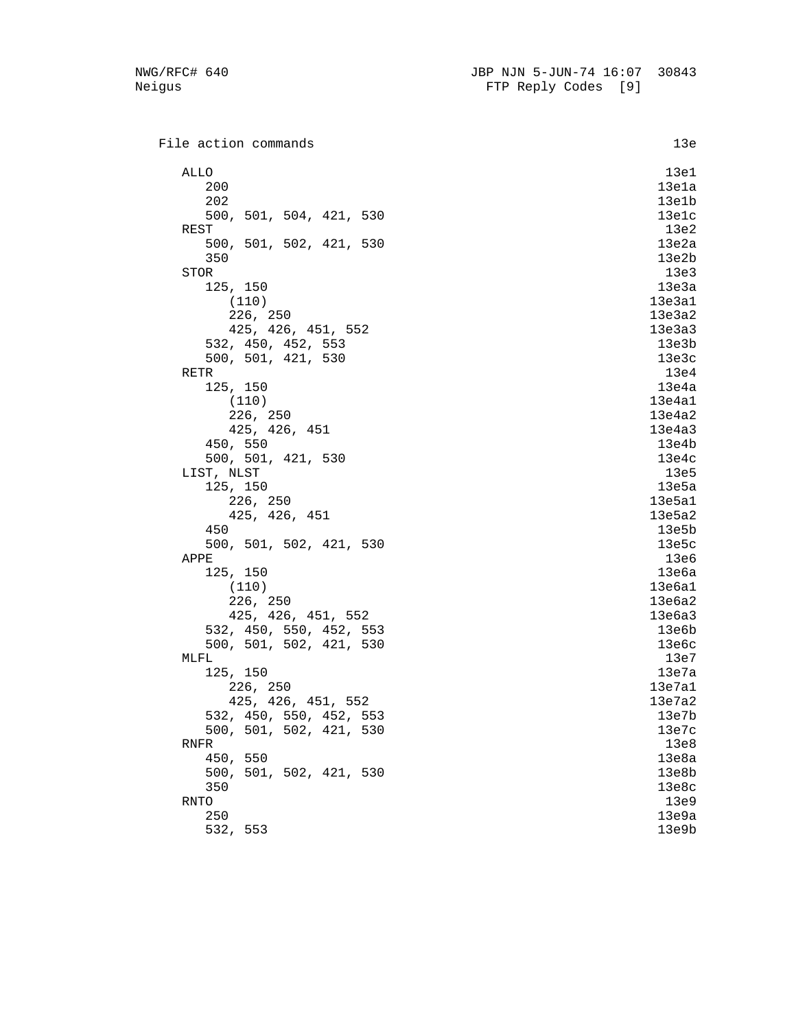File action commands 13e ALLO the contract of the contract of the contract of the contract of the contract of the contract of the contract of the contract of the contract of the contract of the contract of the contract of the contract of the contr 200 13e1a 202 13e1b 500, 501, 504, 421, 530 13e1c  $REST$  13e2 500, 501, 502, 421, 530 13e2a  $350$  13e2b STOR 23e3 125, 150 13e3a  $(110)$  13e3a1 226, 250 13e3a2 425, 426, 451, 552 13e3a3 532, 450, 452, 553 13e3b 500, 501, 421, 530 13e3c RETR  $13e4$  125, 150 13e4a  $(110)$  13e4a1 226, 250 13e4a2 425, 426, 451 13e4a3 450, 550 13e4b 500, 501, 421, 530 13e4c LIST, NLST 13e5 125, 150 13e5a 226, 250 13e5a1 425, 426, 451 13e5a2 450 13e5b 500, 501, 502, 421, 530 13e5c  $APPE$  and  $13e6$  125, 150 13e6a  $(110)$  13e6a1 226, 250 13e6a2 425, 426, 451, 552 13e6a3 532, 450, 550, 452, 553 13e6b 500, 501, 502, 421, 530 13e6c  $\texttt{MLFL}$  13e7 125, 150 13e7a 226, 250 13e7a1 425, 426, 451, 552 13e7a2 532, 450, 550, 452, 553 13e7b 500, 501, 502, 421, 530 13e7c  $R$ NFR 13e8 450, 550 13e8a 500, 501, 502, 421, 530 13e8b  $350$  13e8c RNTO and the contract of the contract of the contract of the contract of the contract of the contract of the contract of the contract of the contract of the contract of the contract of the contract of the contract of the c 250 13e9a 532, 553 13e9b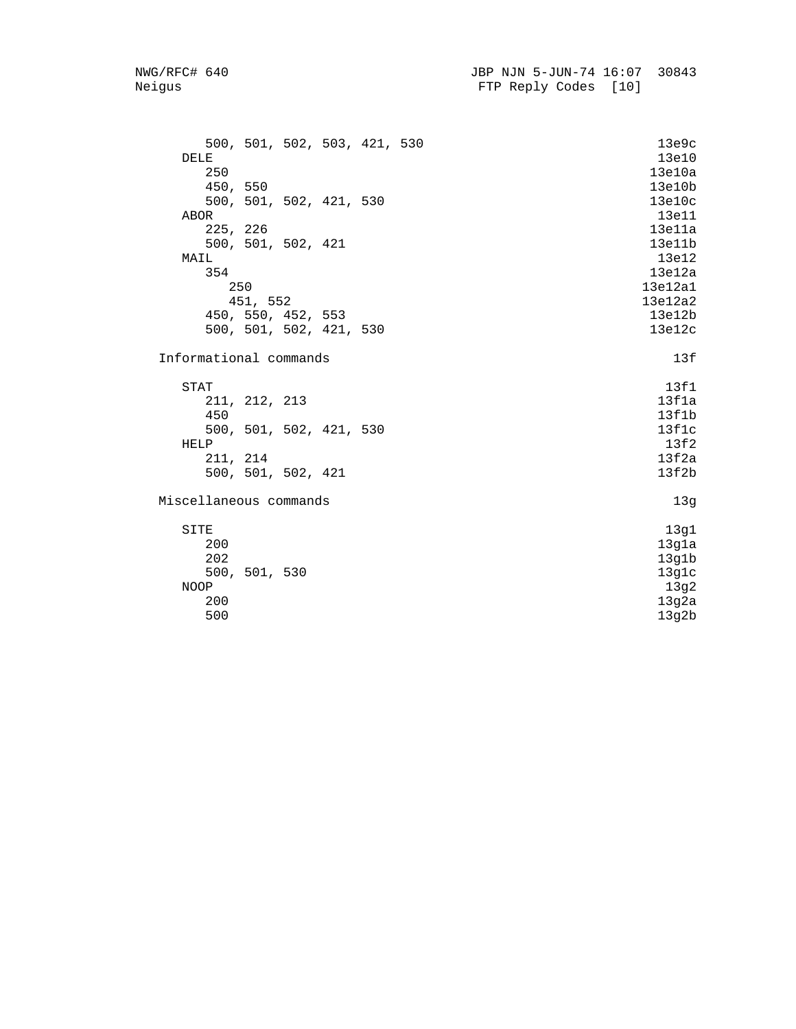| 500, 501, 502, 503, 421, 530<br>DELE<br>250<br>450, 550 | 13e9c<br>13e10<br>13e10a |
|---------------------------------------------------------|--------------------------|
| 500, 501, 502, 421, 530                                 | 13e10b<br>13e10c         |
| ABOR                                                    | 13e11                    |
| 225, 226                                                | 13e11a                   |
| 500, 501, 502, 421                                      | 13e11b                   |
| MAIL                                                    | 13e12                    |
| 354                                                     | 13e12a                   |
| 250                                                     | 13e12a1                  |
| 451, 552                                                | 13e12a2                  |
| 450, 550, 452, 553                                      | 13e12b                   |
| 500, 501, 502, 421, 530                                 | 13e12c                   |
| Informational commands                                  | 13f                      |
| <b>STAT</b>                                             | 13f1                     |
| 211, 212, 213                                           | 13f1a                    |
| 450                                                     | 13f1b                    |
| 500, 501, 502, 421, 530                                 | 13f1c                    |
| HELP                                                    | 13f2                     |
| 211, 214                                                | 13f2a                    |
| 500, 501, 502, 421                                      | 13f2b                    |
| Miscellaneous commands                                  | 13g                      |
| SITE                                                    | 13g1                     |
| 200                                                     | 13g1a                    |
| 202                                                     | 13g1b                    |
| 500, 501, 530                                           | 13g1c                    |
| NOOP                                                    | 13g2                     |
| 200                                                     | 13g2a                    |
| 500                                                     | 13g2b                    |
|                                                         |                          |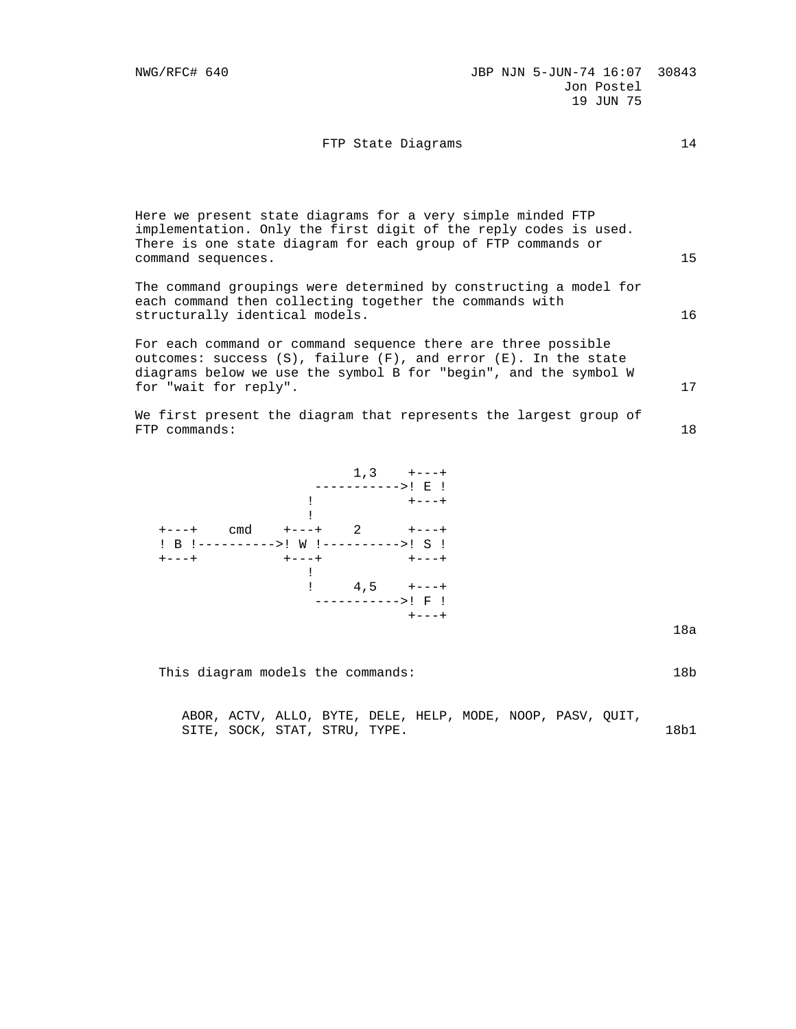## FTP State Diagrams 14

| command sequences.             | Here we present state diagrams for a very simple minded FTP<br>implementation. Only the first digit of the reply codes is used.<br>There is one state diagram for each group of FTP commands or               | 15 |
|--------------------------------|---------------------------------------------------------------------------------------------------------------------------------------------------------------------------------------------------------------|----|
| structurally identical models. | The command groupings were determined by constructing a model for<br>each command then collecting together the commands with                                                                                  | 16 |
| for "wait for reply".          | For each command or command sequence there are three possible<br>outcomes: success $(S)$ , failure $(F)$ , and error $(E)$ . In the state<br>diagrams below we use the symbol B for "begin", and the symbol W | 17 |
| $FTP$ commands:                | We first present the diagram that represents the largest group of                                                                                                                                             | 18 |

|                                       |                   |                   | ----------->! E ! |
|---------------------------------------|-------------------|-------------------|-------------------|
|                                       | $\sim 1$          |                   | $+ - - - +$       |
|                                       |                   |                   |                   |
| $+ - - - +$                           | cmd +---+ 2 +---+ |                   |                   |
| ! B !---------->! W !---------->! S ! |                   |                   |                   |
| $+ - - - +$                           | $+---++$          |                   | $+---++$          |
|                                       |                   |                   |                   |
|                                       | $\pm$             |                   | $4,5$ +---+       |
|                                       |                   | ----------->! F ! |                   |
|                                       |                   |                   | $+ - - - +$       |
|                                       |                   |                   |                   |

na manazarta da kasa na manazarta na manazarta na manazarta na manazarta na manazarta na manazarta na manazart

This diagram models the commands: 18b

 ABOR, ACTV, ALLO, BYTE, DELE, HELP, MODE, NOOP, PASV, QUIT, SITE, SOCK, STAT, STRU, TYPE. 18b1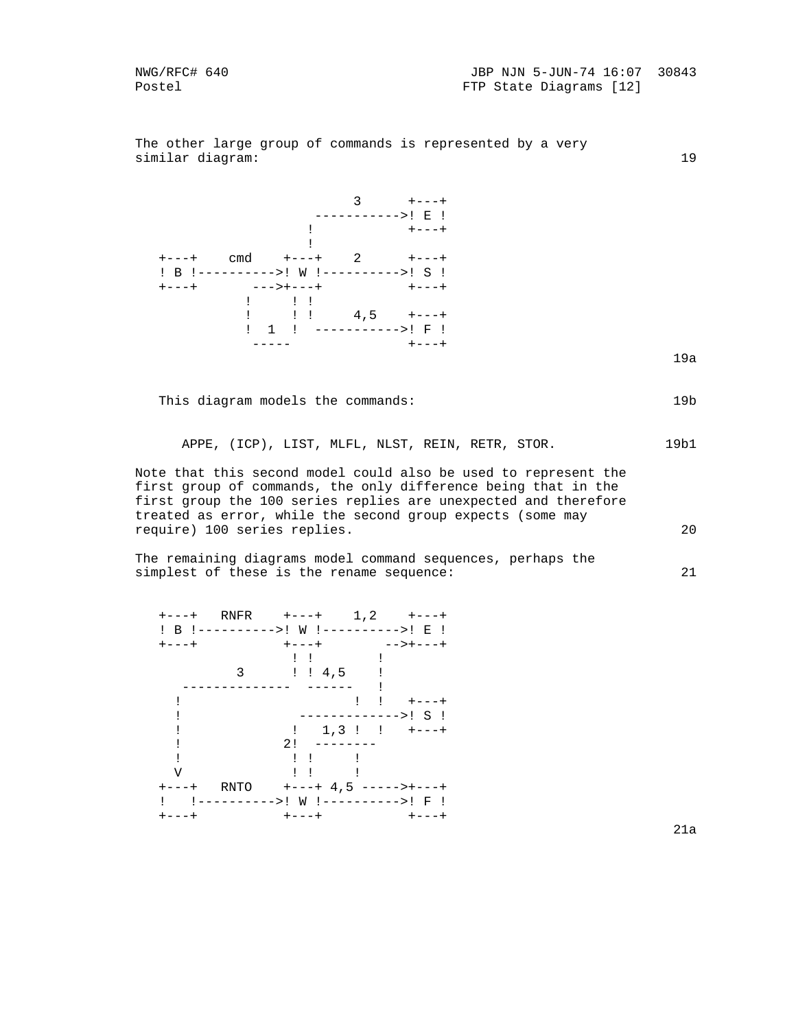The other large group of commands is represented by a very similar diagram: 19



This diagram models the commands: 19b

APPE, (ICP), LIST, MLFL, NLST, REIN, RETR, STOR. 19b1

 Note that this second model could also be used to represent the first group of commands, the only difference being that in the first group the 100 series replies are unexpected and therefore treated as error, while the second group expects (some may require) 100 series replies. 20

 The remaining diagrams model command sequences, perhaps the simplest of these is the rename sequence: 21

 +---+ RNFR +---+ 1,2 +---+ ! B !---------->! W !---------->! E ! +---+ +---+ -->+---+ ! ! ! 3 ! ! 4,5 ! -------------- ------ ! ! ! ! +---+ ! ------------->! S ! !  $1,3$  !  $1,3$  !  $+--+$  ! 2! -------- ! ! ! ! V ! ! ! +---+ RNTO +---+ 4,5 ----->+---+ ! !---------->! W !---------->! F ! +---+ +---+ +---+

e de la construcción de la construcción de la construcción de la construcción de la construcción de la construcción de la construcción de la construcción de la construcción de la construcción de la construcción de la const

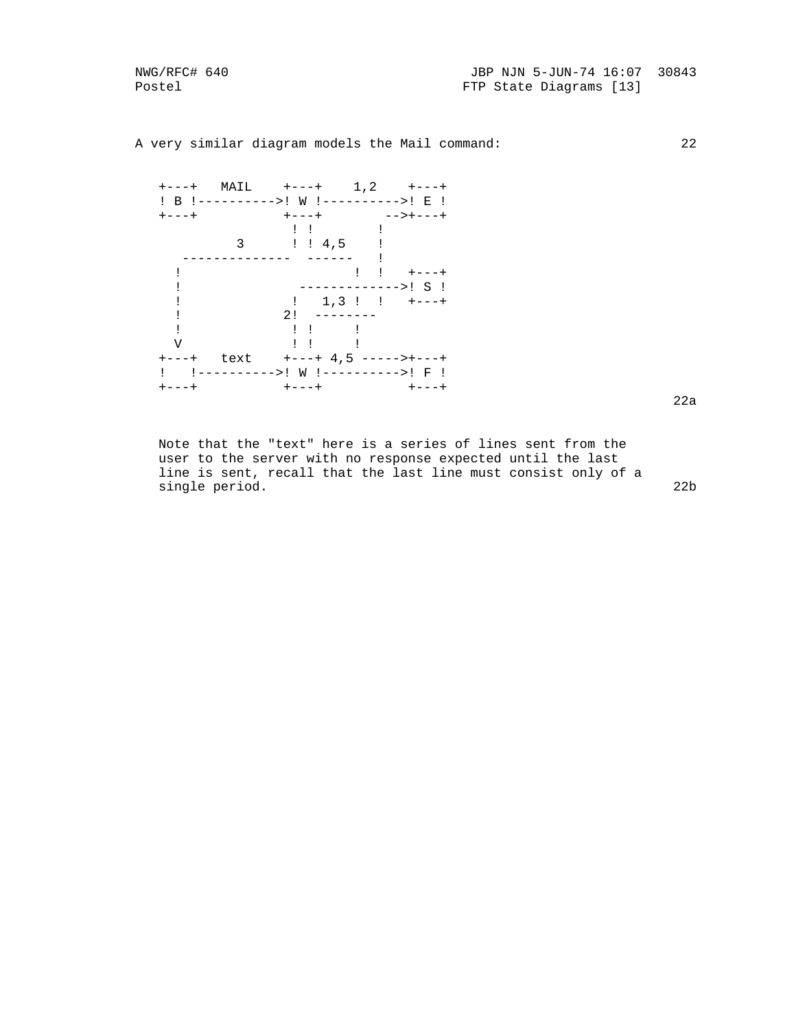A very similar diagram models the Mail command: 22

| $+ - - - +$ | MAIL | $+ - - - +$                           |                             | $1, 2 +---+$        |
|-------------|------|---------------------------------------|-----------------------------|---------------------|
|             |      | ! B !---------->! W !---------->! E ! |                             |                     |
| $+ - - - +$ |      | $+---+$                               |                             | —————————           |
|             |      | $\frac{1}{2}$ $\frac{1}{2}$           |                             |                     |
|             | 3    | : 4, 5                                |                             |                     |
|             |      |                                       |                             |                     |
|             |      |                                       | $\frac{1}{2}$ $\frac{1}{2}$ | $+ - - - +$         |
|             |      |                                       |                             | ------------->! S ! |
|             |      | $\frac{1}{2}$ , 1, 3 !! +---+         |                             |                     |
|             |      | $2!$ --------                         |                             |                     |
|             |      |                                       |                             |                     |
| V           |      | $\pm$ $\pm$                           |                             |                     |
| $+ - - - +$ | text | +---+ 4,5 ----->+---                  |                             |                     |
|             |      | !---------->! W !---------->! F !     |                             |                     |
|             |      | +---+                                 |                             |                     |

e de la construcción de la construcción de la construcción de la construcción de la construcción de la construcción de la construcción de la construcción de la construcción de la construcción de la construcción de la const

 Note that the "text" here is a series of lines sent from the user to the server with no response expected until the last line is sent, recall that the last line must consist only of a single period. 22b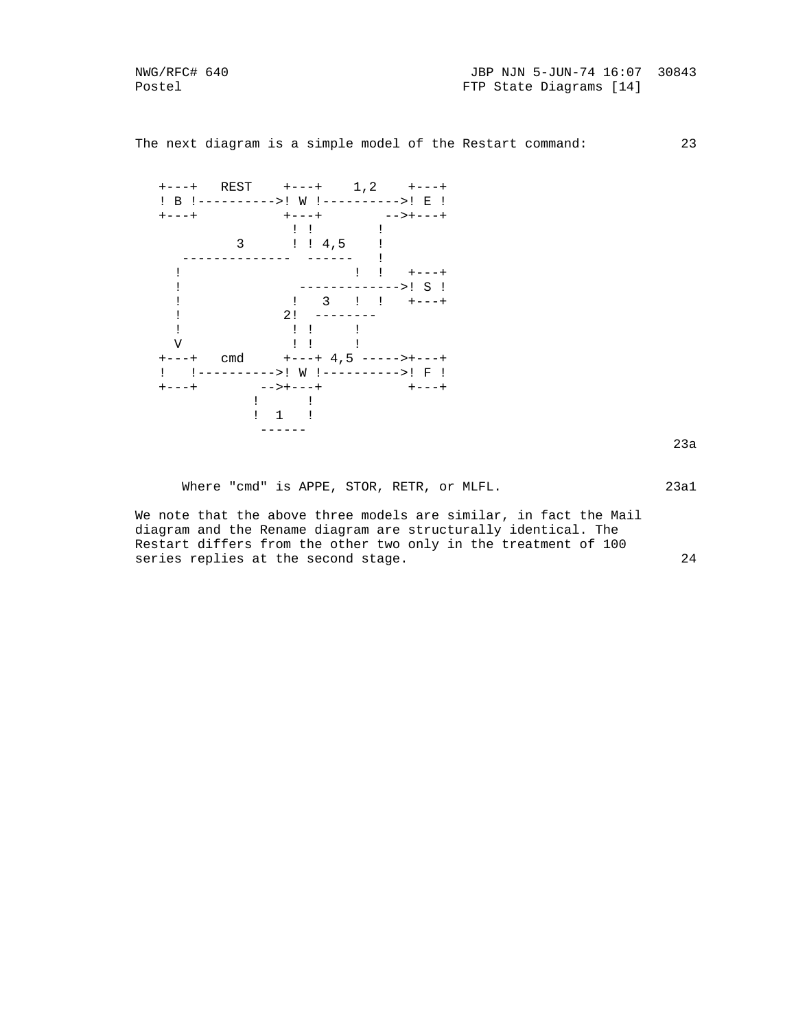The next diagram is a simple model of the Restart command: 23



Where "cmd" is APPE, STOR, RETR, or MLFL. 23a1

 We note that the above three models are similar, in fact the Mail diagram and the Rename diagram are structurally identical. The Restart differs from the other two only in the treatment of 100 series replies at the second stage. 24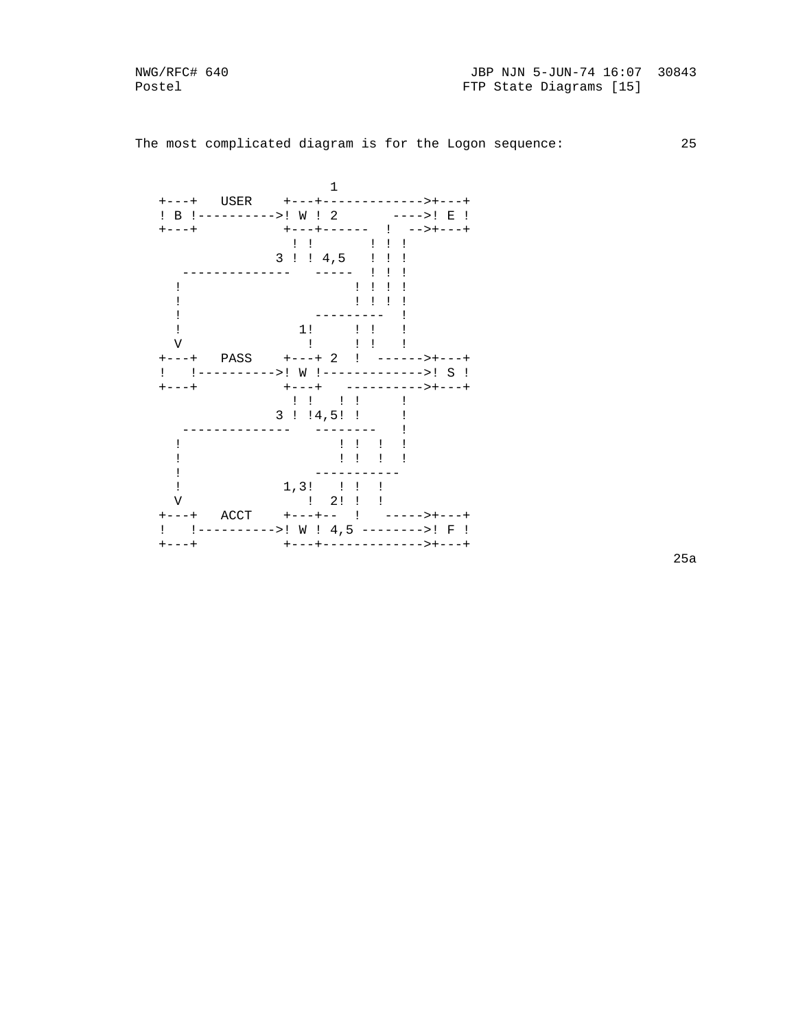NWG/RFC# 640 Postel

The most complicated diagram is for the Logon sequence: 25

|                            | 1                                              |                                            |
|----------------------------|------------------------------------------------|--------------------------------------------|
| USER                       | $+ - - - + - - - -$                            | --------                                   |
| B !---------->! W ! 2<br>Ţ |                                                | E<br>$---->!$<br>$\mathbf{I}$              |
| $- - - +$                  | ---+------ !                                   | $-->+---$                                  |
|                            | $\mathbf{1}$ $\mathbf{1}$                      | $\frac{1}{2}$ $\frac{1}{2}$ $\frac{1}{2}$  |
|                            | 3!!4,5                                         | $1 - 1$                                    |
|                            |                                                | $\mathbf{I}$                               |
|                            |                                                | $\begin{array}{ccc} 1 & 1 & 1 \end{array}$ |
|                            |                                                | $\begin{array}{ccc} 1 & 1 & 1 \end{array}$ |
|                            |                                                |                                            |
|                            | 1!<br>Ţ.                                       | $\mathbf{I}$                               |
| V                          | $\sim$                                         | $\mathbf{I}$ $\mathbf{I}$                  |
| $- - - +$                  |                                                |                                            |
| !---------->!<br>Ţ         |                                                | W !------------->! S !                     |
| $- - +$                    | $+ - - - +$                                    | --------->+---                             |
|                            | $\begin{array}{ccc} . & . & . & . \end{array}$ |                                            |
|                            | 3!14,5!1                                       |                                            |
|                            |                                                |                                            |
|                            |                                                | $\begin{array}{ccc} 1 & 1 & 1 \end{array}$ |
|                            | Ţ<br>$\mathbf{I}$                              | $\mathbf{I}$                               |
|                            |                                                |                                            |
|                            | $1,3!$ !!                                      | Ţ                                          |
| V                          | $\frac{1}{2}$ : $\frac{1}{2}$ :                |                                            |
| ACCT<br>$- - +$            | $+ - - - + - -$ !                              |                                            |
|                            | ---->! W ! 4,5 -------->!                      | F<br>Ţ                                     |
| ---+                       | $-- + - - -$                                   | --->+--                                    |

 $25a$